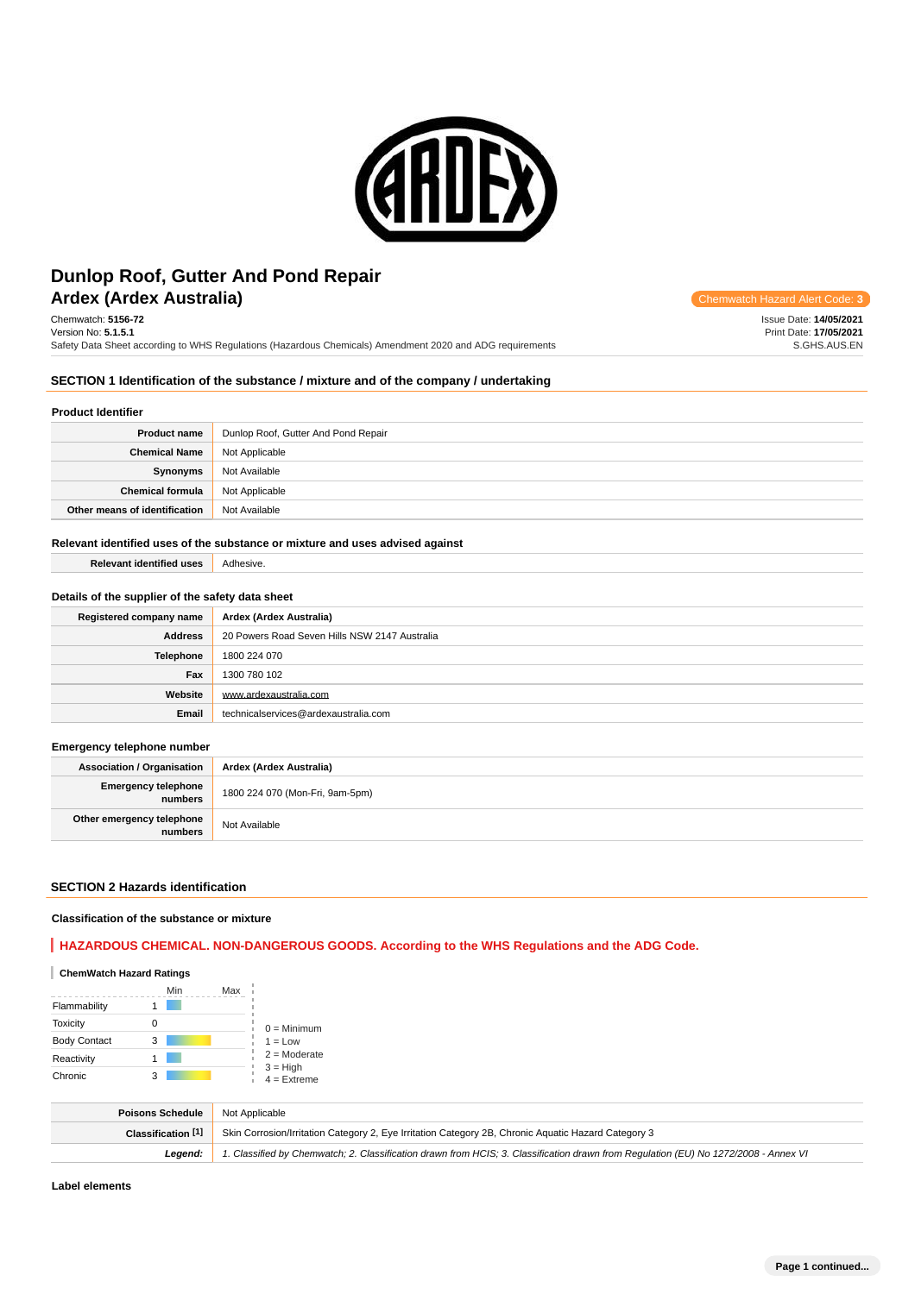

# **Ardex (Ardex Australia) Chemwatch Hazard Alert** Communication **Construction Construction Accord Alert** Construction **Construction** Construction **Construction** Construction **Construction** Construction **Construction** Cons **Dunlop Roof, Gutter And Pond Repair**

Chemwatch: **5156-72** Version No: **5.1.5.1** Safety Data Sheet according to WHS Regulations (Hazardous Chemicals) Amendment 2020 and ADG requirements

**SECTION 1 Identification of the substance / mixture and of the company / undertaking**

#### **Product Identifier**

| <b>Product name</b>           | Dunlop Roof, Gutter And Pond Repair |
|-------------------------------|-------------------------------------|
| <b>Chemical Name</b>          | Not Applicable                      |
| Synonyms                      | Not Available                       |
| <b>Chemical formula</b>       | Not Applicable                      |
| Other means of identification | Not Available                       |

#### **Relevant identified uses of the substance or mixture and uses advised against**

| <b>Relevant identified uses</b> | Adhesive. |
|---------------------------------|-----------|
|                                 |           |

## **Details of the supplier of the safety data sheet**

| Registered company name | Ardex (Ardex Australia)                       |
|-------------------------|-----------------------------------------------|
| <b>Address</b>          | 20 Powers Road Seven Hills NSW 2147 Australia |
| Telephone               | 1800 224 070                                  |
| Fax                     | 1300 780 102                                  |
| Website                 | www.ardexaustralia.com                        |
| Email                   | technicalservices@ardexaustralia.com          |

#### **Emergency telephone number**

**Association / Organisation Ardex (Ardex Australia) Emergency telephone numbers** 1800 224 070 (Mon-Fri, 9am-5pm) **Other emergency telephone relephone**<br>**numbers** Not Available

#### **SECTION 2 Hazards identification**

#### **Classification of the substance or mixture**

# **HAZARDOUS CHEMICAL. NON-DANGEROUS GOODS. According to the WHS Regulations and the ADG Code.**

## **ChemWatch Hazard Ratings**

|                     |   | Min | Max |                             |
|---------------------|---|-----|-----|-----------------------------|
| Flammability        |   |     |     |                             |
| <b>Toxicity</b>     | Ω |     |     | $0 =$ Minimum               |
| <b>Body Contact</b> | 3 |     |     | $1 = Low$                   |
| Reactivity          |   |     |     | $2 =$ Moderate              |
| Chronic             | 3 |     |     | $3 = High$<br>$4 =$ Extreme |

| Poisons Schedule   | Not Applicable                                                                                                                      |
|--------------------|-------------------------------------------------------------------------------------------------------------------------------------|
| Classification [1] | Skin Corrosion/Irritation Category 2, Eye Irritation Category 2B, Chronic Aguatic Hazard Category 3                                 |
| Leaend:            | 1. Classified by Chemwatch; 2. Classification drawn from HCIS; 3. Classification drawn from Requlation (EU) No 1272/2008 - Annex VI |

**Label elements**

Issue Date: **14/05/2021** Print Date: **17/05/2021** S.GHS.AUS.EN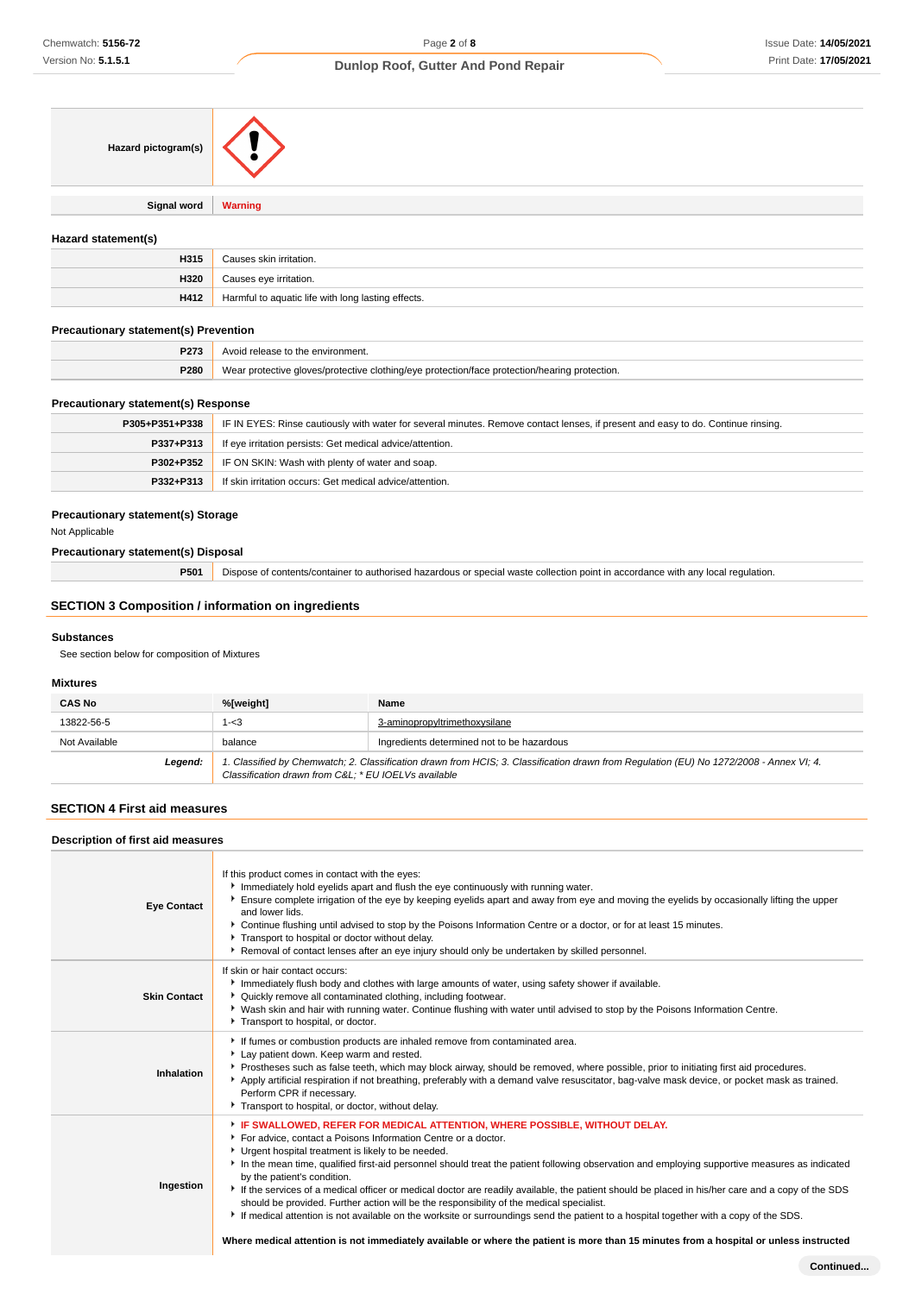| Hazard pictogram(s) |                |
|---------------------|----------------|
|                     |                |
| <b>Signal word</b>  | <b>Warning</b> |

# **Hazard statement(s)**

| H315 | Causes skin irritation.                            |
|------|----------------------------------------------------|
| H320 | Causes eye irritation.                             |
| H412 | Harmful to aquatic life with long lasting effects. |

## **Precautionary statement(s) Prevention**

| P273 | Avoid release to the environment.                                                             |
|------|-----------------------------------------------------------------------------------------------|
| P280 | Wear protective gloves/protective clothing/eye protection/face protection/hearing protection. |

#### **Precautionary statement(s) Response**

| P305+P351+P338 | IF IN EYES: Rinse cautiously with water for several minutes. Remove contact lenses, if present and easy to do. Continue rinsing. |
|----------------|----------------------------------------------------------------------------------------------------------------------------------|
| P337+P313      | If eye irritation persists: Get medical advice/attention.                                                                        |
| P302+P352      | IF ON SKIN: Wash with plenty of water and soap.                                                                                  |
| P332+P313      | If skin irritation occurs: Get medical advice/attention.                                                                         |

# **Precautionary statement(s) Storage**

Not Applicable

## **Precautionary statement(s) Disposal**

**P501** Dispose of contents/container to authorised hazardous or special waste collection point in accordance with any local regulation.

# **SECTION 3 Composition / information on ingredients**

#### **Substances**

See section below for composition of Mixtures

# **Mixtures**

| <b>CAS No</b> | %[weight]                                            | Name                                                                                                                                    |
|---------------|------------------------------------------------------|-----------------------------------------------------------------------------------------------------------------------------------------|
| 13822-56-5    | 1-<3                                                 | 3-aminopropyltrimethoxysilane                                                                                                           |
| Not Available | balance                                              | Ingredients determined not to be hazardous                                                                                              |
| Legend:       | Classification drawn from C&L: * EU IOELVs available | 1. Classified by Chemwatch; 2. Classification drawn from HCIS; 3. Classification drawn from Requlation (EU) No 1272/2008 - Annex VI; 4. |

## **SECTION 4 First aid measures**

#### **Description of first aid measures**

| <b>Eye Contact</b>  | If this product comes in contact with the eyes:<br>Immediately hold eyelids apart and flush the eye continuously with running water.<br>Ensure complete irrigation of the eye by keeping eyelids apart and away from eye and moving the eyelids by occasionally lifting the upper<br>and lower lids.<br>▶ Continue flushing until advised to stop by the Poisons Information Centre or a doctor, or for at least 15 minutes.<br>Transport to hospital or doctor without delay.<br>▶ Removal of contact lenses after an eye injury should only be undertaken by skilled personnel.                                                                                                                                                                                                                                                                                                                                    |
|---------------------|----------------------------------------------------------------------------------------------------------------------------------------------------------------------------------------------------------------------------------------------------------------------------------------------------------------------------------------------------------------------------------------------------------------------------------------------------------------------------------------------------------------------------------------------------------------------------------------------------------------------------------------------------------------------------------------------------------------------------------------------------------------------------------------------------------------------------------------------------------------------------------------------------------------------|
| <b>Skin Contact</b> | If skin or hair contact occurs:<br>Immediately flush body and clothes with large amounts of water, using safety shower if available.<br>• Quickly remove all contaminated clothing, including footwear.<br>▶ Wash skin and hair with running water. Continue flushing with water until advised to stop by the Poisons Information Centre.<br>Transport to hospital, or doctor.                                                                                                                                                                                                                                                                                                                                                                                                                                                                                                                                       |
| Inhalation          | If fumes or combustion products are inhaled remove from contaminated area.<br>Lay patient down. Keep warm and rested.<br>Prostheses such as false teeth, which may block airway, should be removed, where possible, prior to initiating first aid procedures.<br>Apply artificial respiration if not breathing, preferably with a demand valve resuscitator, bag-valve mask device, or pocket mask as trained.<br>Perform CPR if necessary.<br>Transport to hospital, or doctor, without delay.                                                                                                                                                                                                                                                                                                                                                                                                                      |
| Ingestion           | F IF SWALLOWED, REFER FOR MEDICAL ATTENTION, WHERE POSSIBLE, WITHOUT DELAY.<br>For advice, contact a Poisons Information Centre or a doctor.<br>Urgent hospital treatment is likely to be needed.<br>In the mean time, qualified first-aid personnel should treat the patient following observation and employing supportive measures as indicated<br>by the patient's condition.<br>If the services of a medical officer or medical doctor are readily available, the patient should be placed in his/her care and a copy of the SDS<br>should be provided. Further action will be the responsibility of the medical specialist.<br>If medical attention is not available on the worksite or surroundings send the patient to a hospital together with a copy of the SDS.<br>Where medical attention is not immediately available or where the patient is more than 15 minutes from a hospital or unless instructed |
|                     |                                                                                                                                                                                                                                                                                                                                                                                                                                                                                                                                                                                                                                                                                                                                                                                                                                                                                                                      |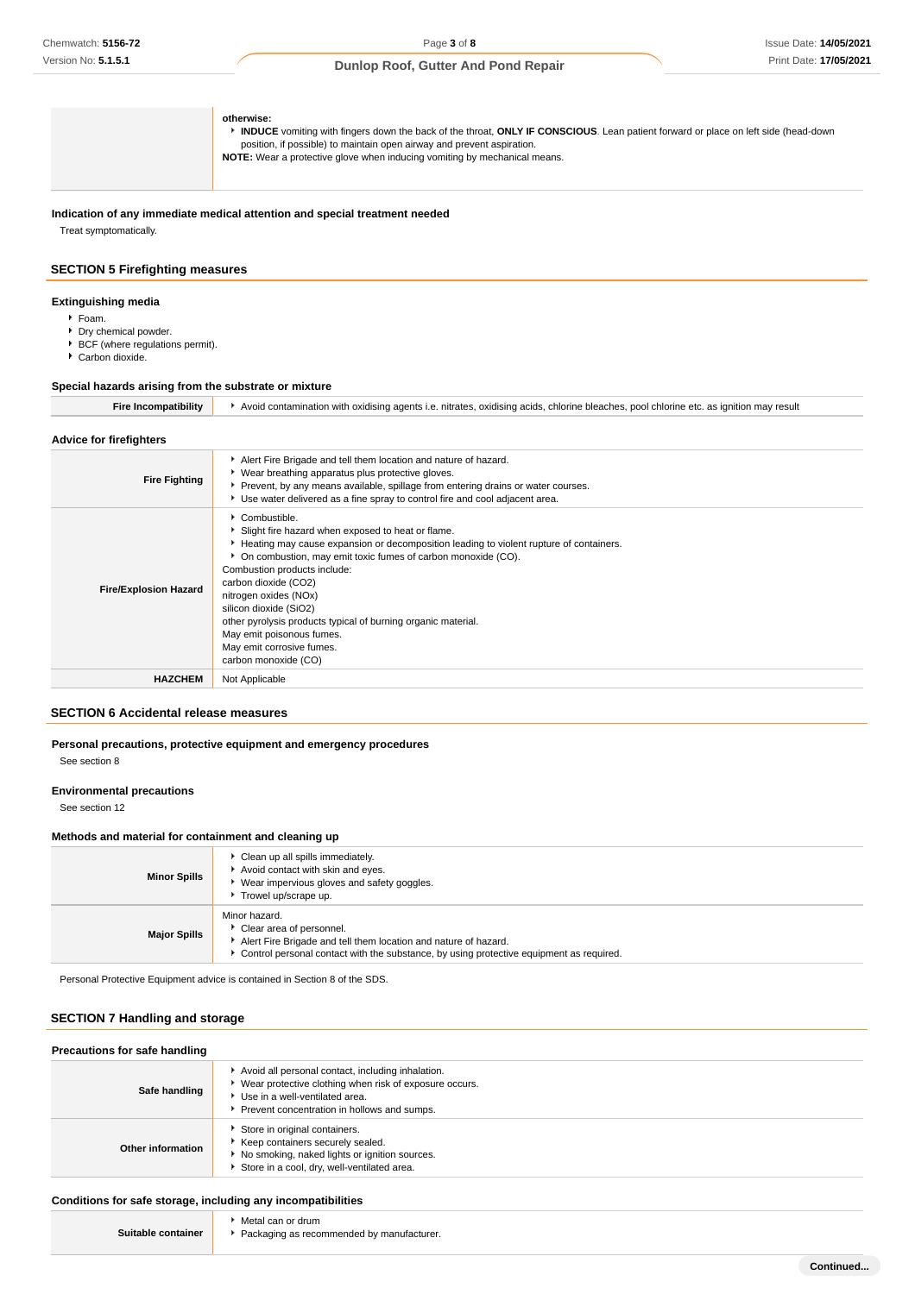**otherwise:** 

**INDUCE** vomiting with fingers down the back of the throat, **ONLY IF CONSCIOUS**. Lean patient forward or place on left side (head-down position, if possible) to maintain open airway and prevent aspiration. **NOTE:** Wear a protective glove when inducing vomiting by mechanical means.

**Indication of any immediate medical attention and special treatment needed** Treat symptomatically.

# **SECTION 5 Firefighting measures**

#### **Extinguishing media**

- Foam.
- **Dry chemical powder.**
- ▶ BCF (where regulations permit).
- Carbon dioxide.

#### **Special hazards arising from the substrate or mixture**

**Fire Incompatibility I** Avoid contamination with oxidising agents i.e. nitrates, oxidising acids, chlorine bleaches, pool chlorine etc. as ignition may result

#### **Advice for firefighters**

| <b>Fire Fighting</b>         | Alert Fire Brigade and tell them location and nature of hazard.<br>• Wear breathing apparatus plus protective gloves.<br>Prevent, by any means available, spillage from entering drains or water courses.<br>▶ Use water delivered as a fine spray to control fire and cool adjacent area.                                                                                                                                                                                                  |
|------------------------------|---------------------------------------------------------------------------------------------------------------------------------------------------------------------------------------------------------------------------------------------------------------------------------------------------------------------------------------------------------------------------------------------------------------------------------------------------------------------------------------------|
| <b>Fire/Explosion Hazard</b> | Combustible.<br>Slight fire hazard when exposed to heat or flame.<br>Heating may cause expansion or decomposition leading to violent rupture of containers.<br>• On combustion, may emit toxic fumes of carbon monoxide (CO).<br>Combustion products include:<br>carbon dioxide (CO2)<br>nitrogen oxides (NOx)<br>silicon dioxide (SiO2)<br>other pyrolysis products typical of burning organic material.<br>May emit poisonous fumes.<br>May emit corrosive fumes.<br>carbon monoxide (CO) |
| <b>HAZCHEM</b>               | Not Applicable                                                                                                                                                                                                                                                                                                                                                                                                                                                                              |
|                              |                                                                                                                                                                                                                                                                                                                                                                                                                                                                                             |

#### **SECTION 6 Accidental release measures**

# **Personal precautions, protective equipment and emergency procedures**

See section 8

# **Environmental precautions**

See section 12

### **Methods and material for containment and cleaning up**

| <b>Minor Spills</b> | ▶ Clean up all spills immediately.<br>Avoid contact with skin and eyes.<br>Wear impervious gloves and safety goggles.<br>Trowel up/scrape up.                                                           |
|---------------------|---------------------------------------------------------------------------------------------------------------------------------------------------------------------------------------------------------|
| <b>Major Spills</b> | Minor hazard.<br>Clear area of personnel.<br>Alert Fire Brigade and tell them location and nature of hazard.<br>Control personal contact with the substance, by using protective equipment as required. |

Personal Protective Equipment advice is contained in Section 8 of the SDS.

# **SECTION 7 Handling and storage**

| Precautions for safe handling |                                                                                                                                                                                                |  |  |
|-------------------------------|------------------------------------------------------------------------------------------------------------------------------------------------------------------------------------------------|--|--|
| Safe handling                 | Avoid all personal contact, including inhalation.<br>▶ Wear protective clothing when risk of exposure occurs.<br>Use in a well-ventilated area.<br>Prevent concentration in hollows and sumps. |  |  |
| Other information             | Store in original containers.<br>Keep containers securely sealed.<br>No smoking, naked lights or ignition sources.<br>Store in a cool, dry, well-ventilated area.                              |  |  |

## **Conditions for safe storage, including any incompatibilities**

|                    | Metal can or drum                           |
|--------------------|---------------------------------------------|
| Suitable container | ▶ Packaging as recommended by manufacturer. |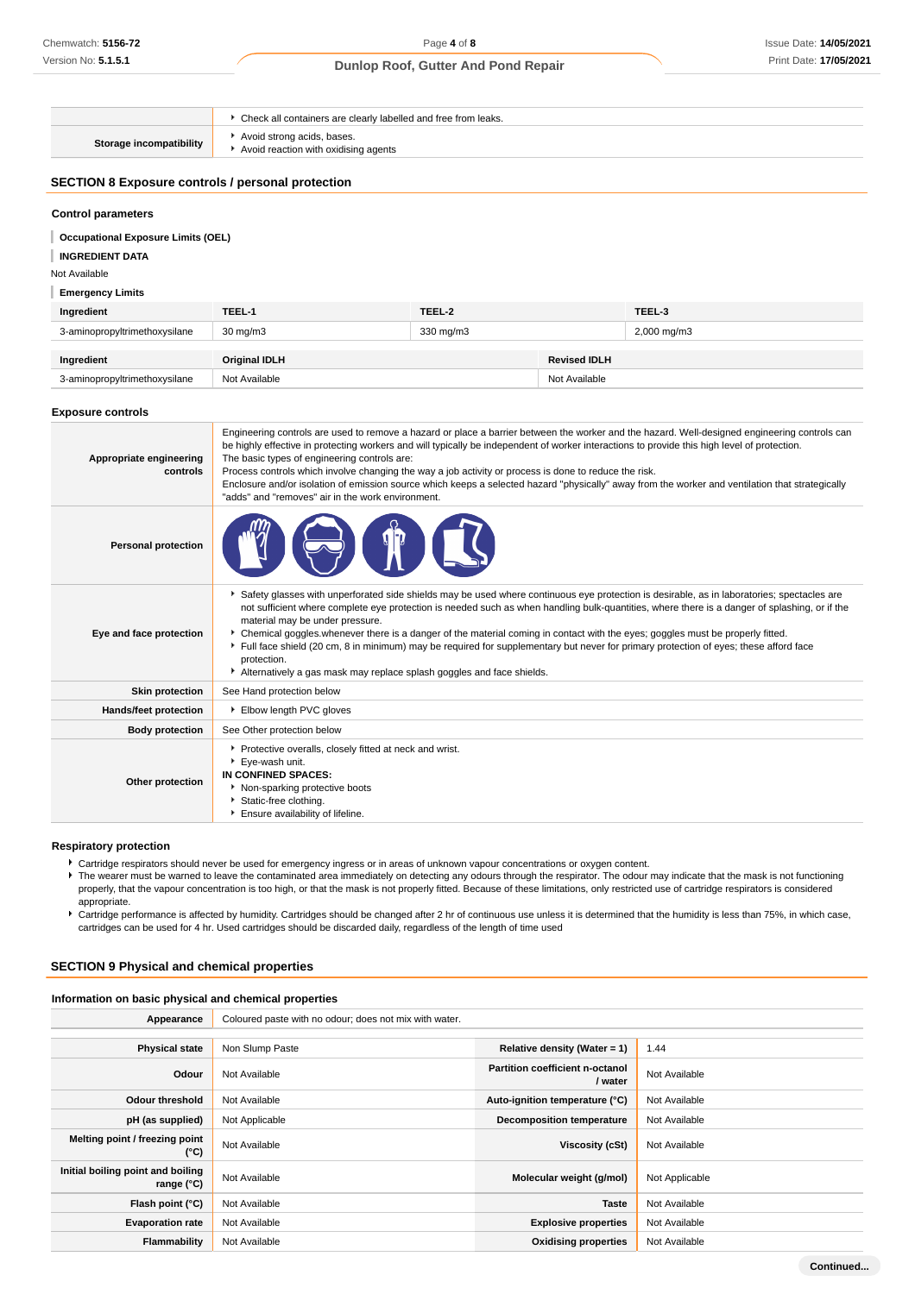|                                                          | Check all containers are clearly labelled and free from leaks.     |  |  |
|----------------------------------------------------------|--------------------------------------------------------------------|--|--|
| Storage incompatibility                                  | Avoid strong acids, bases.<br>Avoid reaction with oxidising agents |  |  |
| <b>SECTION 8 Exposure controls / personal protection</b> |                                                                    |  |  |
| <b>Control parameters</b>                                |                                                                    |  |  |
| <b>Occupational Exposure Limits (OEL)</b>                |                                                                    |  |  |
| <b>INGREDIENT DATA</b>                                   |                                                                    |  |  |
| Not Available                                            |                                                                    |  |  |

**Emergency Limits**

| Ingredient                    | TEEL-1               | TEEL-2    |                     | TEEL-3                  |
|-------------------------------|----------------------|-----------|---------------------|-------------------------|
| 3-aminopropyltrimethoxysilane | $30 \text{ mg/m}$    | 330 mg/m3 |                     | $2,000 \,\mathrm{mg/m}$ |
|                               |                      |           |                     |                         |
| Ingredient                    | <b>Original IDLH</b> |           | <b>Revised IDLH</b> |                         |
| 3-aminopropyltrimethoxysilane | Not Available        |           | Not Available       |                         |

#### **Exposure controls**

| Appropriate engineering<br>controls | Engineering controls are used to remove a hazard or place a barrier between the worker and the hazard. Well-designed engineering controls can<br>be highly effective in protecting workers and will typically be independent of worker interactions to provide this high level of protection.<br>The basic types of engineering controls are:<br>Process controls which involve changing the way a job activity or process is done to reduce the risk.<br>Enclosure and/or isolation of emission source which keeps a selected hazard "physically" away from the worker and ventilation that strategically<br>"adds" and "removes" air in the work environment.                                     |
|-------------------------------------|-----------------------------------------------------------------------------------------------------------------------------------------------------------------------------------------------------------------------------------------------------------------------------------------------------------------------------------------------------------------------------------------------------------------------------------------------------------------------------------------------------------------------------------------------------------------------------------------------------------------------------------------------------------------------------------------------------|
| <b>Personal protection</b>          |                                                                                                                                                                                                                                                                                                                                                                                                                                                                                                                                                                                                                                                                                                     |
| Eye and face protection             | ▶ Safety glasses with unperforated side shields may be used where continuous eye protection is desirable, as in laboratories; spectacles are<br>not sufficient where complete eye protection is needed such as when handling bulk-quantities, where there is a danger of splashing, or if the<br>material may be under pressure.<br>• Chemical goggles whenever there is a danger of the material coming in contact with the eyes; goggles must be properly fitted.<br>Full face shield (20 cm, 8 in minimum) may be required for supplementary but never for primary protection of eyes; these afford face<br>protection.<br>Alternatively a gas mask may replace splash goggles and face shields. |
| <b>Skin protection</b>              | See Hand protection below                                                                                                                                                                                                                                                                                                                                                                                                                                                                                                                                                                                                                                                                           |
| Hands/feet protection               | Elbow length PVC gloves                                                                                                                                                                                                                                                                                                                                                                                                                                                                                                                                                                                                                                                                             |
| <b>Body protection</b>              | See Other protection below                                                                                                                                                                                                                                                                                                                                                                                                                                                                                                                                                                                                                                                                          |
| Other protection                    | Protective overalls, closely fitted at neck and wrist.<br>Eye-wash unit.<br>IN CONFINED SPACES:<br>Non-sparking protective boots<br>Static-free clothing.<br>Ensure availability of lifeline.                                                                                                                                                                                                                                                                                                                                                                                                                                                                                                       |

#### **Respiratory protection**

Cartridge respirators should never be used for emergency ingress or in areas of unknown vapour concentrations or oxygen content.

The wearer must be warned to leave the contaminated area immediately on detecting any odours through the respirator. The odour may indicate that the mask is not functioning properly, that the vapour concentration is too high, or that the mask is not properly fitted. Because of these limitations, only restricted use of cartridge respirators is considered appropriate.

Fartridge performance is affected by humidity. Cartridges should be changed after 2 hr of continuous use unless it is determined that the humidity is less than 75%, in which case, cartridges can be used for 4 hr. Used cartridges should be discarded daily, regardless of the length of time used

# **SECTION 9 Physical and chemical properties**

# **Information on basic physical and chemical properties**

| Appearance                                      | Coloured paste with no odour; does not mix with water. |                                            |                |
|-------------------------------------------------|--------------------------------------------------------|--------------------------------------------|----------------|
|                                                 |                                                        |                                            |                |
| <b>Physical state</b>                           | Non Slump Paste                                        | Relative density (Water = $1$ )            | 1.44           |
| Odour                                           | Not Available                                          | Partition coefficient n-octanol<br>/ water | Not Available  |
| <b>Odour threshold</b>                          | Not Available                                          | Auto-ignition temperature (°C)             | Not Available  |
| pH (as supplied)                                | Not Applicable                                         | <b>Decomposition temperature</b>           | Not Available  |
| Melting point / freezing point<br>(°C)          | Not Available                                          | Viscosity (cSt)                            | Not Available  |
| Initial boiling point and boiling<br>range (°C) | Not Available                                          | Molecular weight (g/mol)                   | Not Applicable |
| Flash point (°C)                                | Not Available                                          | <b>Taste</b>                               | Not Available  |
| <b>Evaporation rate</b>                         | Not Available                                          | <b>Explosive properties</b>                | Not Available  |
| Flammability                                    | Not Available                                          | <b>Oxidising properties</b>                | Not Available  |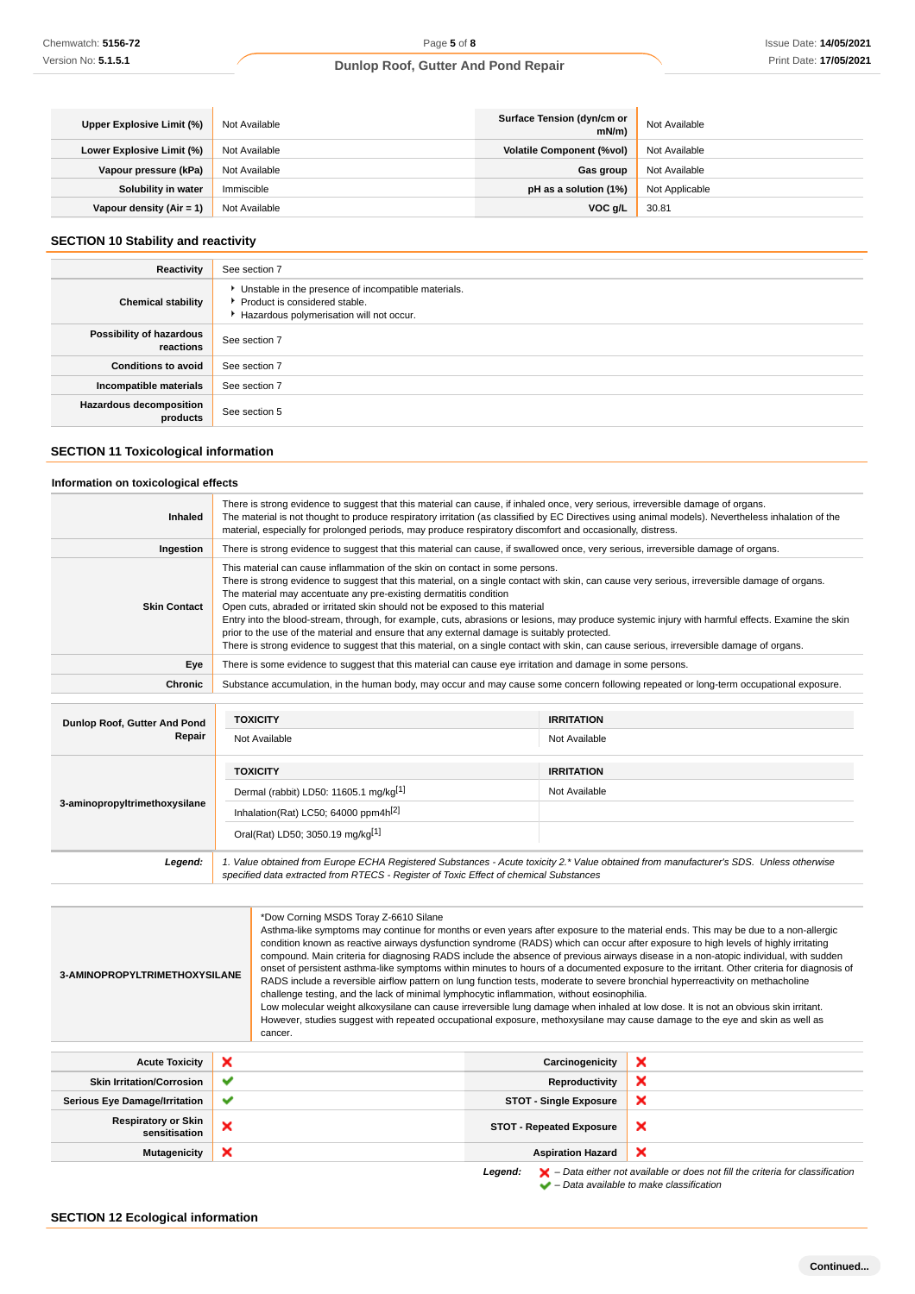| Upper Explosive Limit (%) | Not Available | Surface Tension (dyn/cm or<br>mN/m | Not Available  |
|---------------------------|---------------|------------------------------------|----------------|
| Lower Explosive Limit (%) | Not Available | <b>Volatile Component (%vol)</b>   | Not Available  |
| Vapour pressure (kPa)     | Not Available | <b>Gas group</b>                   | Not Available  |
| Solubility in water       | Immiscible    | pH as a solution (1%)              | Not Applicable |
| Vapour density (Air = 1)  | Not Available | VOC g/L                            | 30.81          |

# **SECTION 10 Stability and reactivity**

| Reactivity                                 | See section 7                                                                                                                        |
|--------------------------------------------|--------------------------------------------------------------------------------------------------------------------------------------|
| <b>Chemical stability</b>                  | • Unstable in the presence of incompatible materials.<br>▶ Product is considered stable.<br>Hazardous polymerisation will not occur. |
| Possibility of hazardous<br>reactions      | See section 7                                                                                                                        |
| <b>Conditions to avoid</b>                 | See section 7                                                                                                                        |
| Incompatible materials                     | See section 7                                                                                                                        |
| <b>Hazardous decomposition</b><br>products | See section 5                                                                                                                        |

# **SECTION 11 Toxicological information**

# **Information on toxicological effects**

| <b>Inhaled</b>      | There is strong evidence to suggest that this material can cause, if inhaled once, very serious, irreversible damage of organs.<br>The material is not thought to produce respiratory irritation (as classified by EC Directives using animal models). Nevertheless inhalation of the<br>material, especially for prolonged periods, may produce respiratory discomfort and occasionally, distress.                                                                                                                                                                                                                                                                                                                                                                               |
|---------------------|-----------------------------------------------------------------------------------------------------------------------------------------------------------------------------------------------------------------------------------------------------------------------------------------------------------------------------------------------------------------------------------------------------------------------------------------------------------------------------------------------------------------------------------------------------------------------------------------------------------------------------------------------------------------------------------------------------------------------------------------------------------------------------------|
| Ingestion           | There is strong evidence to suggest that this material can cause, if swallowed once, very serious, irreversible damage of organs.                                                                                                                                                                                                                                                                                                                                                                                                                                                                                                                                                                                                                                                 |
| <b>Skin Contact</b> | This material can cause inflammation of the skin on contact in some persons.<br>There is strong evidence to suggest that this material, on a single contact with skin, can cause very serious, irreversible damage of organs.<br>The material may accentuate any pre-existing dermatitis condition<br>Open cuts, abraded or irritated skin should not be exposed to this material<br>Entry into the blood-stream, through, for example, cuts, abrasions or lesions, may produce systemic injury with harmful effects. Examine the skin<br>prior to the use of the material and ensure that any external damage is suitably protected.<br>There is strong evidence to suggest that this material, on a single contact with skin, can cause serious, irreversible damage of organs. |
| Eye                 | There is some evidence to suggest that this material can cause eye irritation and damage in some persons.                                                                                                                                                                                                                                                                                                                                                                                                                                                                                                                                                                                                                                                                         |
| Chronic             | Substance accumulation, in the human body, may occur and may cause some concern following repeated or long-term occupational exposure.                                                                                                                                                                                                                                                                                                                                                                                                                                                                                                                                                                                                                                            |
|                     |                                                                                                                                                                                                                                                                                                                                                                                                                                                                                                                                                                                                                                                                                                                                                                                   |

| Dunlop Roof, Gutter And Pond<br>Repair | <b>TOXICITY</b>                                                                                                                                                                                                                 | <b>IRRITATION</b> |  |
|----------------------------------------|---------------------------------------------------------------------------------------------------------------------------------------------------------------------------------------------------------------------------------|-------------------|--|
|                                        | Not Available                                                                                                                                                                                                                   | Not Available     |  |
| 3-aminopropyltrimethoxysilane          | <b>TOXICITY</b>                                                                                                                                                                                                                 | <b>IRRITATION</b> |  |
|                                        | Dermal (rabbit) LD50: 11605.1 mg/kg <sup>[1]</sup>                                                                                                                                                                              | Not Available     |  |
|                                        | Inhalation(Rat) LC50; 64000 ppm4h <sup>[2]</sup>                                                                                                                                                                                |                   |  |
|                                        | Oral(Rat) LD50; 3050.19 mg/kg[1]                                                                                                                                                                                                |                   |  |
| Legend:                                | 1. Value obtained from Europe ECHA Registered Substances - Acute toxicity 2.* Value obtained from manufacturer's SDS. Unless otherwise<br>specified data extracted from RTECS - Register of Toxic Effect of chemical Substances |                   |  |

| 3-AMINOPROPYLTRIMETHOXYSILANE               |   | *Dow Corning MSDS Toray Z-6610 Silane<br>Asthma-like symptoms may continue for months or even years after exposure to the material ends. This may be due to a non-allergic<br>condition known as reactive airways dysfunction syndrome (RADS) which can occur after exposure to high levels of highly irritating<br>compound. Main criteria for diagnosing RADS include the absence of previous airways disease in a non-atopic individual, with sudden<br>onset of persistent asthma-like symptoms within minutes to hours of a documented exposure to the irritant. Other criteria for diagnosis of<br>RADS include a reversible airflow pattern on lung function tests, moderate to severe bronchial hyperreactivity on methacholine<br>challenge testing, and the lack of minimal lymphocytic inflammation, without eosinophilia.<br>Low molecular weight alkoxysilane can cause irreversible lung damage when inhaled at low dose. It is not an obvious skin irritant.<br>However, studies suggest with repeated occupational exposure, methoxysilane may cause damage to the eye and skin as well as<br>cancer. |                                 |                                                                                                                                                                     |
|---------------------------------------------|---|-----------------------------------------------------------------------------------------------------------------------------------------------------------------------------------------------------------------------------------------------------------------------------------------------------------------------------------------------------------------------------------------------------------------------------------------------------------------------------------------------------------------------------------------------------------------------------------------------------------------------------------------------------------------------------------------------------------------------------------------------------------------------------------------------------------------------------------------------------------------------------------------------------------------------------------------------------------------------------------------------------------------------------------------------------------------------------------------------------------------------|---------------------------------|---------------------------------------------------------------------------------------------------------------------------------------------------------------------|
| <b>Acute Toxicity</b>                       | × |                                                                                                                                                                                                                                                                                                                                                                                                                                                                                                                                                                                                                                                                                                                                                                                                                                                                                                                                                                                                                                                                                                                       | Carcinogenicity                 | ×                                                                                                                                                                   |
| <b>Skin Irritation/Corrosion</b>            | ✔ |                                                                                                                                                                                                                                                                                                                                                                                                                                                                                                                                                                                                                                                                                                                                                                                                                                                                                                                                                                                                                                                                                                                       | <b>Reproductivity</b>           | ×                                                                                                                                                                   |
| <b>Serious Eye Damage/Irritation</b>        | ✔ |                                                                                                                                                                                                                                                                                                                                                                                                                                                                                                                                                                                                                                                                                                                                                                                                                                                                                                                                                                                                                                                                                                                       | <b>STOT - Single Exposure</b>   | ×                                                                                                                                                                   |
| <b>Respiratory or Skin</b><br>sensitisation | × |                                                                                                                                                                                                                                                                                                                                                                                                                                                                                                                                                                                                                                                                                                                                                                                                                                                                                                                                                                                                                                                                                                                       | <b>STOT - Repeated Exposure</b> | ×                                                                                                                                                                   |
| <b>Mutagenicity</b>                         | × |                                                                                                                                                                                                                                                                                                                                                                                                                                                                                                                                                                                                                                                                                                                                                                                                                                                                                                                                                                                                                                                                                                                       | <b>Aspiration Hazard</b>        | ×                                                                                                                                                                   |
|                                             |   |                                                                                                                                                                                                                                                                                                                                                                                                                                                                                                                                                                                                                                                                                                                                                                                                                                                                                                                                                                                                                                                                                                                       | Legend:                         | $\blacktriangleright$ - Data either not available or does not fill the criteria for classification<br>$\blacktriangleright$ - Data available to make classification |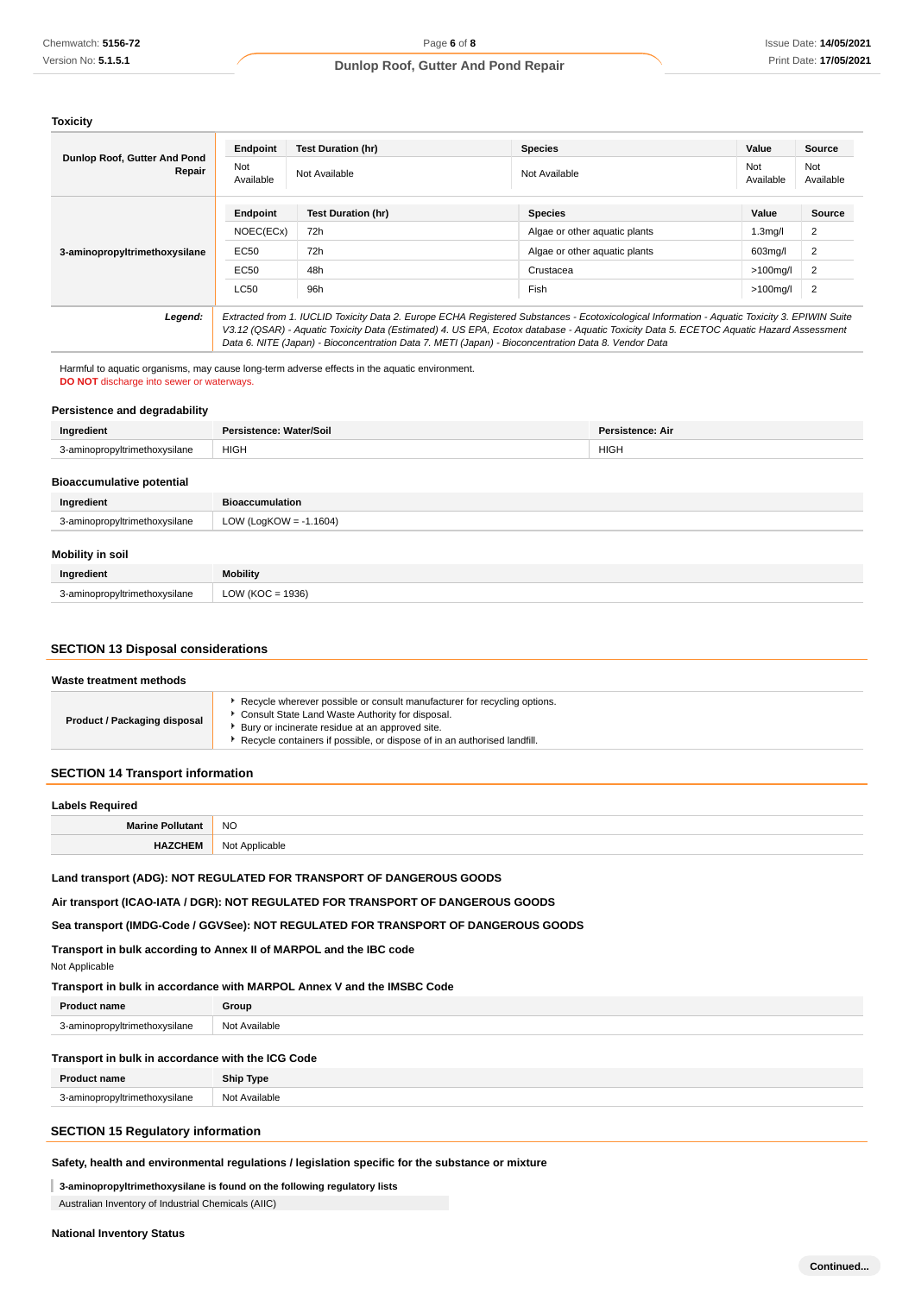**Toxicity**

| Dunlop Roof, Gutter And Pond<br>Repair | Endpoint                                                                                                                                                                                                                                       | <b>Test Duration (hr)</b> | <b>Species</b>                | Value                | <b>Source</b>    |
|----------------------------------------|------------------------------------------------------------------------------------------------------------------------------------------------------------------------------------------------------------------------------------------------|---------------------------|-------------------------------|----------------------|------------------|
|                                        | Not<br>Available                                                                                                                                                                                                                               | Not Available             | Not Available                 | Not<br>Available     | Not<br>Available |
| 3-aminopropyltrimethoxysilane          | Endpoint                                                                                                                                                                                                                                       | <b>Test Duration (hr)</b> | <b>Species</b>                | Value                | Source           |
|                                        | NOEC(ECx)                                                                                                                                                                                                                                      | 72h                       | Algae or other aquatic plants | 1.3 <sub>mq</sub> /I | 2                |
|                                        | EC50                                                                                                                                                                                                                                           | 72h                       | Algae or other aquatic plants | 603mg/l              | 2                |
|                                        | EC50                                                                                                                                                                                                                                           | 48h                       | Crustacea                     | $>100$ mg/l          | 2                |
|                                        | <b>LC50</b>                                                                                                                                                                                                                                    | 96h                       | Fish                          | >100mg/l             | $\overline{2}$   |
| Legend:                                | Extracted from 1. IUCLID Toxicity Data 2. Europe ECHA Registered Substances - Ecotoxicological Information - Aquatic Toxicity 3. EPIWIN Suite                                                                                                  |                           |                               |                      |                  |
|                                        | V3.12 (QSAR) - Aquatic Toxicity Data (Estimated) 4. US EPA, Ecotox database - Aquatic Toxicity Data 5. ECETOC Aquatic Hazard Assessment<br>Data 6. NITE (Japan) - Bioconcentration Data 7. METI (Japan) - Bioconcentration Data 8. Vendor Data |                           |                               |                      |                  |

Harmful to aquatic organisms, may cause long-term adverse effects in the aquatic environment. **DO NOT** discharge into sewer or waterways.

## **Persistence and degradability**

| Ingredient                       | Persistence: Water/Soil | <b>Persistence: Air</b> |
|----------------------------------|-------------------------|-------------------------|
| 3-aminopropyltrimethoxysilane    | <b>HIGH</b>             | <b>HIGH</b>             |
| <b>Bioaccumulative potential</b> |                         |                         |
| Ingredient                       | <b>Bioaccumulation</b>  |                         |

| Mobility in soil |  |
|------------------|--|
|                  |  |

| MODILIty in SOIL              |                  |
|-------------------------------|------------------|
| Ingredient                    | Mobility         |
| 3-aminopropyltrimethoxysilane | LOW (KOC = 1936) |

## **SECTION 13 Disposal considerations**

3-aminopropyltrimethoxysilane LOW (LogKOW = -1.1604)

#### **Waste treatment methods**

| Product / Packaging disposal | ► Recycle wherever possible or consult manufacturer for recycling options.<br>▶ Consult State Land Waste Authority for disposal. |  |
|------------------------------|----------------------------------------------------------------------------------------------------------------------------------|--|
|                              | ▶ Bury or incinerate residue at an approved site.                                                                                |  |
|                              | Recycle containers if possible, or dispose of in an authorised landfill.                                                         |  |

## **SECTION 14 Transport information**

| Labels Required         |                |  |
|-------------------------|----------------|--|
| <b>Marine Pollutant</b> | <b>NO</b>      |  |
| <b>CHEN</b>             | Not Applicable |  |

#### **Land transport (ADG): NOT REGULATED FOR TRANSPORT OF DANGEROUS GOODS**

**Air transport (ICAO-IATA / DGR): NOT REGULATED FOR TRANSPORT OF DANGEROUS GOODS**

#### **Sea transport (IMDG-Code / GGVSee): NOT REGULATED FOR TRANSPORT OF DANGEROUS GOODS**

**Transport in bulk according to Annex II of MARPOL and the IBC code**

Not Applicable

## **Transport in bulk in accordance with MARPOL Annex V and the IMSBC Code**

| <b>Product name</b>           | Group         |
|-------------------------------|---------------|
| 3-aminopropyltrimethoxysilane | Not Available |
|                               |               |

## **Transport in bulk in accordance with the ICG Code**

| P<br>`name                     | <b>Ship Type</b> |
|--------------------------------|------------------|
| 3-aminonro<br>silane<br>witrin | Not Available    |

# **SECTION 15 Regulatory information**

#### **Safety, health and environmental regulations / legislation specific for the substance or mixture**

# **3-aminopropyltrimethoxysilane is found on the following regulatory lists**

Australian Inventory of Industrial Chemicals (AIIC)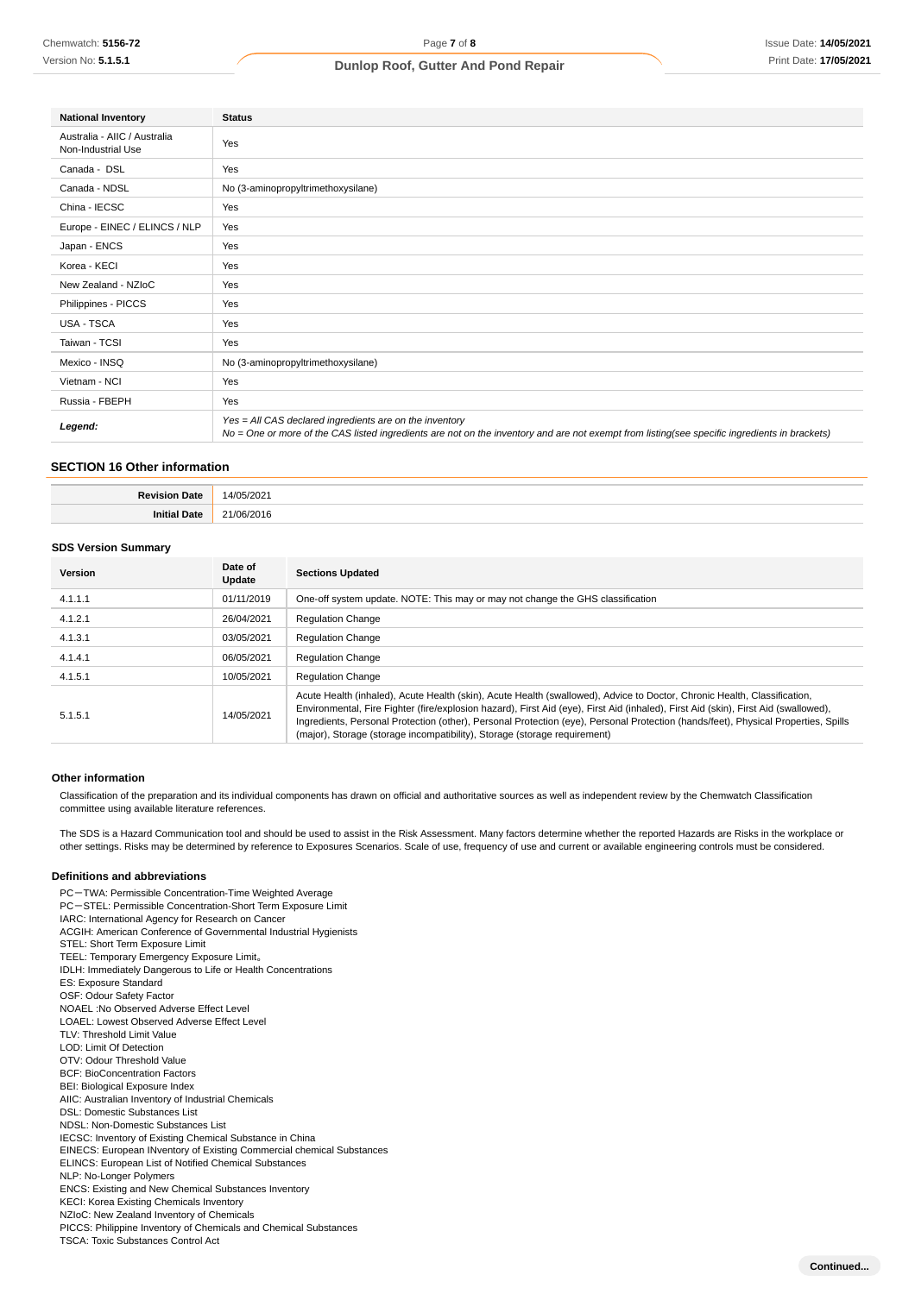| <b>National Inventory</b>                          | <b>Status</b>                                                                                                                                                                                            |
|----------------------------------------------------|----------------------------------------------------------------------------------------------------------------------------------------------------------------------------------------------------------|
| Australia - AIIC / Australia<br>Non-Industrial Use | Yes                                                                                                                                                                                                      |
| Canada - DSL                                       | Yes                                                                                                                                                                                                      |
| Canada - NDSL                                      | No (3-aminopropyltrimethoxysilane)                                                                                                                                                                       |
| China - IECSC                                      | Yes                                                                                                                                                                                                      |
| Europe - EINEC / ELINCS / NLP                      | Yes                                                                                                                                                                                                      |
| Japan - ENCS                                       | Yes                                                                                                                                                                                                      |
| Korea - KECI                                       | Yes                                                                                                                                                                                                      |
| New Zealand - NZIoC                                | Yes                                                                                                                                                                                                      |
| Philippines - PICCS                                | Yes                                                                                                                                                                                                      |
| <b>USA - TSCA</b>                                  | Yes                                                                                                                                                                                                      |
| Taiwan - TCSI                                      | Yes                                                                                                                                                                                                      |
| Mexico - INSQ                                      | No (3-aminopropyltrimethoxysilane)                                                                                                                                                                       |
| Vietnam - NCI                                      | Yes                                                                                                                                                                                                      |
| Russia - FBEPH                                     | Yes                                                                                                                                                                                                      |
| Legend:                                            | Yes = All CAS declared ingredients are on the inventory<br>No = One or more of the CAS listed ingredients are not on the inventory and are not exempt from listing(see specific ingredients in brackets) |

## **SECTION 16 Other information**

#### **SDS Version Summary**

| <b>Version</b> | Date of<br>Update | <b>Sections Updated</b>                                                                                                                                                                                                                                                                                                                                                                                                                                                            |
|----------------|-------------------|------------------------------------------------------------------------------------------------------------------------------------------------------------------------------------------------------------------------------------------------------------------------------------------------------------------------------------------------------------------------------------------------------------------------------------------------------------------------------------|
| 4.1.1.1        | 01/11/2019        | One-off system update. NOTE: This may or may not change the GHS classification                                                                                                                                                                                                                                                                                                                                                                                                     |
| 4.1.2.1        | 26/04/2021        | <b>Regulation Change</b>                                                                                                                                                                                                                                                                                                                                                                                                                                                           |
| 4.1.3.1        | 03/05/2021        | <b>Regulation Change</b>                                                                                                                                                                                                                                                                                                                                                                                                                                                           |
| 4.1.4.1        | 06/05/2021        | <b>Regulation Change</b>                                                                                                                                                                                                                                                                                                                                                                                                                                                           |
| 4.1.5.1        | 10/05/2021        | <b>Regulation Change</b>                                                                                                                                                                                                                                                                                                                                                                                                                                                           |
| 5.1.5.1        | 14/05/2021        | Acute Health (inhaled), Acute Health (skin), Acute Health (swallowed), Advice to Doctor, Chronic Health, Classification,<br>Environmental, Fire Fighter (fire/explosion hazard), First Aid (eye), First Aid (inhaled), First Aid (skin), First Aid (swallowed),<br>Ingredients, Personal Protection (other), Personal Protection (eye), Personal Protection (hands/feet), Physical Properties, Spills<br>(major), Storage (storage incompatibility), Storage (storage requirement) |

#### **Other information**

Classification of the preparation and its individual components has drawn on official and authoritative sources as well as independent review by the Chemwatch Classification committee using available literature references.

The SDS is a Hazard Communication tool and should be used to assist in the Risk Assessment. Many factors determine whether the reported Hazards are Risks in the workplace or other settings. Risks may be determined by reference to Exposures Scenarios. Scale of use, frequency of use and current or available engineering controls must be considered.

#### **Definitions and abbreviations**

PC-TWA: Permissible Concentration-Time Weighted Average PC-STEL: Permissible Concentration-Short Term Exposure Limit IARC: International Agency for Research on Cancer ACGIH: American Conference of Governmental Industrial Hygienists STEL: Short Term Exposure Limit TEEL: Temporary Emergency Exposure Limit。 IDLH: Immediately Dangerous to Life or Health Concentrations ES: Exposure Standard OSF: Odour Safety Factor NOAEL :No Observed Adverse Effect Level LOAEL: Lowest Observed Adverse Effect Level TLV: Threshold Limit Value LOD: Limit Of Detection OTV: Odour Threshold Value BCF: BioConcentration Factors BEI: Biological Exposure Index AIIC: Australian Inventory of Industrial Chemicals DSL: Domestic Substances List NDSL: Non-Domestic Substances List IECSC: Inventory of Existing Chemical Substance in China EINECS: European INventory of Existing Commercial chemical Substances ELINCS: European List of Notified Chemical Substances NLP: No-Longer Polymers ENCS: Existing and New Chemical Substances Inventory KECI: Korea Existing Chemicals Inventory NZIoC: New Zealand Inventory of Chemicals PICCS: Philippine Inventory of Chemicals and Chemical Substances TSCA: Toxic Substances Control Act